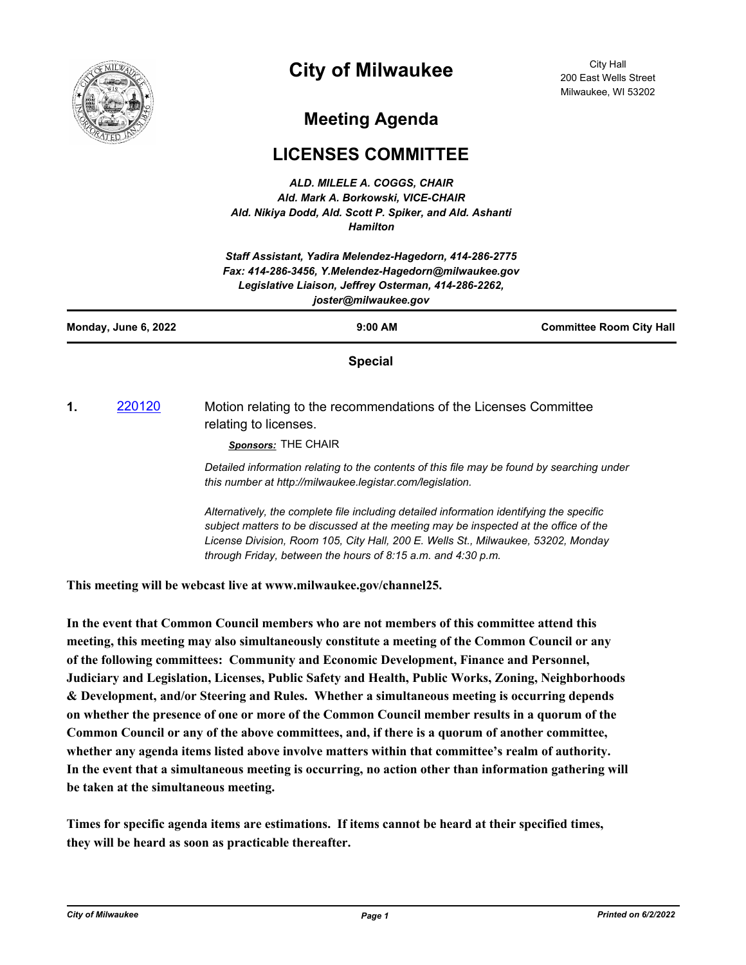

## **City of Milwaukee**

City Hall 200 East Wells Street Milwaukee, WI 53202

## **Meeting Agenda**

## **LICENSES COMMITTEE**

*ALD. MILELE A. COGGS, CHAIR Ald. Mark A. Borkowski, VICE-CHAIR Ald. Nikiya Dodd, Ald. Scott P. Spiker, and Ald. Ashanti Hamilton*

| Staff Assistant, Yadira Melendez-Hagedorn, 414-286-2775<br>Fax: 414-286-3456, Y.Melendez-Hagedorn@milwaukee.gov<br>Legislative Liaison, Jeffrey Osterman, 414-286-2262,<br>joster@milwaukee.gov |        |                                                                                                                                                                                                                                                                       |                                 |
|-------------------------------------------------------------------------------------------------------------------------------------------------------------------------------------------------|--------|-----------------------------------------------------------------------------------------------------------------------------------------------------------------------------------------------------------------------------------------------------------------------|---------------------------------|
| Monday, June 6, 2022                                                                                                                                                                            |        | $9:00$ AM                                                                                                                                                                                                                                                             | <b>Committee Room City Hall</b> |
|                                                                                                                                                                                                 |        | <b>Special</b>                                                                                                                                                                                                                                                        |                                 |
| 1.                                                                                                                                                                                              | 220120 | Motion relating to the recommendations of the Licenses Committee<br>relating to licenses.<br>Sponsors: THE CHAIR                                                                                                                                                      |                                 |
|                                                                                                                                                                                                 |        | Detailed information relating to the contents of this file may be found by searching under<br>this number at http://milwaukee.legistar.com/legislation.                                                                                                               |                                 |
|                                                                                                                                                                                                 |        | Alternatively, the complete file including detailed information identifying the specific<br>subject matters to be discussed at the meeting may be inspected at the office of the<br>License Division, Room 105, City Hall, 200 E. Wells St., Milwaukee, 53202, Monday |                                 |

**This meeting will be webcast live at www.milwaukee.gov/channel25.**

**In the event that Common Council members who are not members of this committee attend this meeting, this meeting may also simultaneously constitute a meeting of the Common Council or any of the following committees: Community and Economic Development, Finance and Personnel, Judiciary and Legislation, Licenses, Public Safety and Health, Public Works, Zoning, Neighborhoods & Development, and/or Steering and Rules. Whether a simultaneous meeting is occurring depends on whether the presence of one or more of the Common Council member results in a quorum of the Common Council or any of the above committees, and, if there is a quorum of another committee, whether any agenda items listed above involve matters within that committee's realm of authority. In the event that a simultaneous meeting is occurring, no action other than information gathering will be taken at the simultaneous meeting.**

*through Friday, between the hours of 8:15 a.m. and 4:30 p.m.*

**Times for specific agenda items are estimations. If items cannot be heard at their specified times, they will be heard as soon as practicable thereafter.**